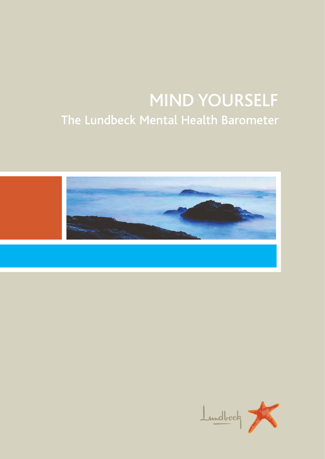# MIND YOURSELF The Lundbeck Mental Health Barometer



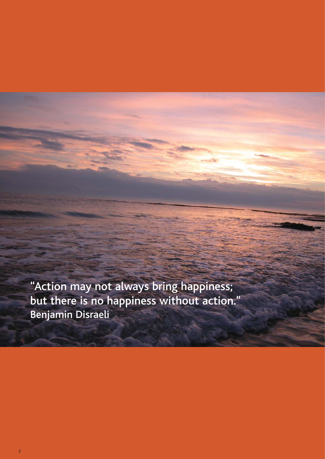"Action may not always bring happiness; but there is no happiness without action." Benjamin Disraeli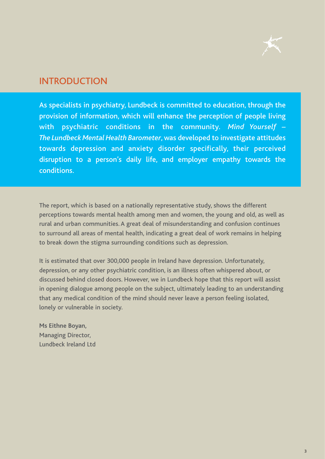

# **INTRODUCTION**

As specialists in psychiatry, Lundbeck is committed to education, through the provision of information, which will enhance the perception of people living with psychiatric conditions in the community. *Mind Yourself – The Lundbeck Mental Health Barometer*, was developed to investigate attitudes towards depression and anxiety disorder specifically, their perceived disruption to a person's daily life, and employer empathy towards the conditions.

The report, which is based on a nationally representative study, shows the different perceptions towards mental health among men and women, the young and old, as well as rural and urban communities. A great deal of misunderstanding and confusion continues to surround all areas of mental health, indicating a great deal of work remains in helping to break down the stigma surrounding conditions such as depression.

It is estimated that over 300,000 people in Ireland have depression. Unfortunately, depression, or any other psychiatric condition, is an illness often whispered about, or discussed behind closed doors. However, we in Lundbeck hope that this report will assist in opening dialogue among people on the subject, ultimately leading to an understanding that any medical condition of the mind should never leave a person feeling isolated, lonely or vulnerable in society.

**Ms Eithne Boyan,** Managing Director, Lundbeck Ireland Ltd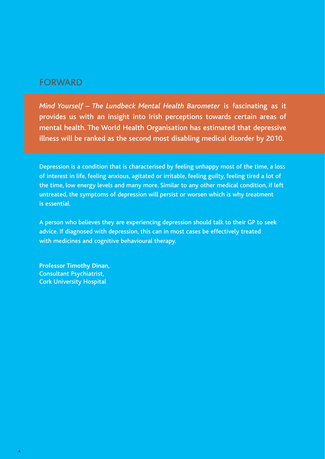# FORWARD

*Mind Yourself – The Lundbeck Mental Health Barometer* is fascinating as it provides us with an insight into Irish perceptions towards certain areas of mental health. The World Health Organisation has estimated that depressive illness will be ranked as the second most disabling medical disorder by 2010.

Depression is a condition that is characterised by feeling unhappy most of the time, a loss of interest in life, feeling anxious, agitated or irritable, feeling guilty, feeling tired a lot of the time, low energy levels and many more. Similar to any other medical condition, if left untreated, the symptoms of depression will persist or worsen which is why treatment is essential.

A person who believes they are experiencing depression should talk to their GP to seek advice. If diagnosed with depression, this can in most cases be effectively treated with medicines and cognitive behavioural therapy.

**Professor Timothy Dinan,** Consultant Psychiatrist, Cork University Hospital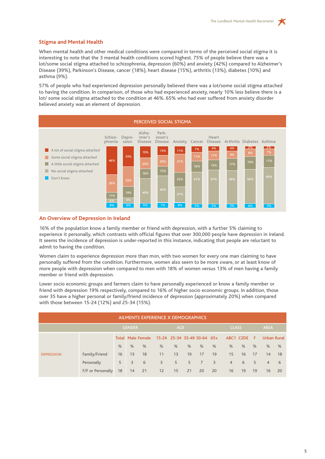# **Stigma and Mental Health**

When mental health and other medical conditions were compared in terms of the perceived social stigma it is interesting to note that the 3 mental health conditions scored highest. 75% of people believe there was a lot/some social stigma attached to schizophrenia, depression (60%) and anxiety (42%) compared to Alzheimer's Disease (39%), Parkinson's Disease, cancer (18%), heart disease (15%), arthritis (13%), diabetes (10%) and asthma (9%).

57% of people who had experienced depression personally believed there was a lot/some social stigma attached to having the condition. In comparison, of those who had experienced anxiety, nearly 10% less believe there is a lot/ some social stigma attached to the condition at 46%. 65% who had ever suffered from anxiety disorder believed anxiety was an element of depression.



#### **An Overview of Depression in Ireland**

16% of the population know a family member or friend with depression, with a further 5% claiming to experience it personally, which contrasts with official figures that over 300,000 people have depression in Ireland. It seems the incidence of depression is under-reported in this instance, indicating that people are reluctant to admit to having the condition.

Women claim to experience depression more than men, with two women for every one man claiming to have personally suffered from the condition. Furthermore, women also seem to be more aware, or at least know of more people with depression when compared to men with 18% of women versus 13% of men having a family member or friend with depression.

Lower socio economic groups and farmers claim to have personally experienced or know a family member or friend with depression 19% respectively, compared to 16% of higher socio economic groups. In addition, those over 35 have a higher personal or family/friend incidence of depression (approximately 20%) when compared with those between 15-24 (12%) and 25-34 (15%).

| AILMENTS EXPERIENCE X DEMOGRAPHICS |                   |               |      |                          |                             |    |    |                |                          |                |           |       |                    |      |
|------------------------------------|-------------------|---------------|------|--------------------------|-----------------------------|----|----|----------------|--------------------------|----------------|-----------|-------|--------------------|------|
|                                    | <b>GENDER</b>     |               |      |                          | AGE                         |    |    |                |                          | <b>CLASS</b>   |           |       | <b>AREA</b>        |      |
|                                    |                   |               |      | <b>Total Male Female</b> | 15-24 25-34 35-49 50-64 65+ |    |    |                |                          |                | ABC1 C2DE | – F ⊵ | <b>Urban Rural</b> |      |
|                                    |                   | $\frac{9}{6}$ | $\%$ | %                        | %                           | %  | %  | %              | %                        | %              | %         | $\%$  | $\%$               | $\%$ |
| <b>DEPRESSION</b>                  | Family/Friend     | 16            | 13   | <b>18</b>                | 11                          | 13 | 19 | 17             | 19                       | 15             | 16        | 17    | 14                 | 18   |
|                                    | Personally        | 5             | 3    | 6                        | 3                           | 5  | 5  | 7 <sup>7</sup> | $\overline{\phantom{a}}$ | $\overline{4}$ | 6         | 5     | $\overline{4}$     | 6    |
|                                    | F/F or Personally | 18            | 14   | 21                       | $12 \overline{ }$           | 15 | 21 | 20             | 20                       | 16             | 19        | 19    | 16                 | 20   |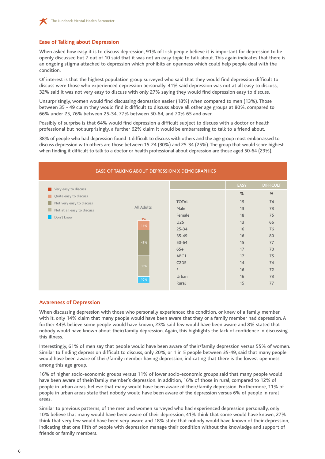

### **Ease of Talking about Depression**

When asked how easy it is to discuss depression, 91% of Irish people believe it is important for depression to be openly discussed but 7 out of 10 said that it was not an easy topic to talk about. This again indicates that there is an ongoing stigma attached to depression which prohibits an openness which could help people deal with the condition.

Of interest is that the highest population group surveyed who said that they would find depression difficult to discuss were those who experienced depression personally. 41% said depression was not at all easy to discuss, 32% said it was not very easy to discuss with only 27% saying they would find depression easy to discuss.

Unsurprisingly, women would find discussing depression easier (18%) when compared to men (13%). Those between 35 - 49 claim they would find it difficult to discuss above all other age groups at 80%, compared to 66% under 25, 76% between 25-34, 77% between 50-64, and 70% 65 and over.

Possibly of surprise is that 64% would find depression a difficult subject to discuss with a doctor or health professional but not surprisingly, a further 62% claim it would be embarrassing to talk to a friend about.

38% of people who had depression found it difficult to discuss with others and the age group most embarrassed to discuss depression with others are those between 15-24 (30%) and 25-34 (25%). The group that would score highest when finding it difficult to talk to a doctor or health professional about depression are those aged 50-64 (29%).



#### **Awareness of Depression**

When discussing depression with those who personally experienced the condition, or knew of a family member with it, only 14% claim that many people would have been aware that they or a family member had depression. A further 44% believe some people would have known, 23% said few would have been aware and 8% stated that nobody would have known about their/family depression. Again, this highlights the lack of confidence in discussing this illness.

Interestingly, 61% of men say that people would have been aware of their/family depression versus 55% of women. Similar to finding depression difficult to discuss, only 20%, or 1 in 5 people between 35-49, said that many people would have been aware of their/family member having depression, indicating that there is the lowest openness among this age group.

16% of higher socio-economic groups versus 11% of lower socio-economic groups said that many people would have been aware of their/family member's depression. In addition, 16% of those in rural, compared to 12% of people in urban areas, believe that many would have been aware of their/family depression. Furthermore, 11% of people in urban areas state that nobody would have been aware of the depression versus 6% of people in rural areas.

Similar to previous patterns, of the men and women surveyed who had experienced depression personally, only 10% believe that many would have been aware of their depression, 41% think that some would have known, 27% think that very few would have been very aware and 18% state that nobody would have known of their depression, indicating that one fifth of people with depression manage their condition without the knowledge and support of friends or family members.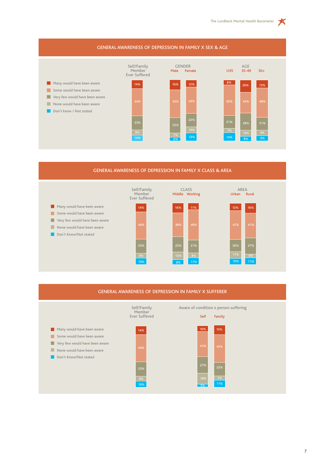

# GENERAL AWARENESS OF DEPRESSION IN FAMILY X CLASS & AREA



#### GENERAL AWARENESS OF DEPRESSION IN FAMILY X SUFFERER

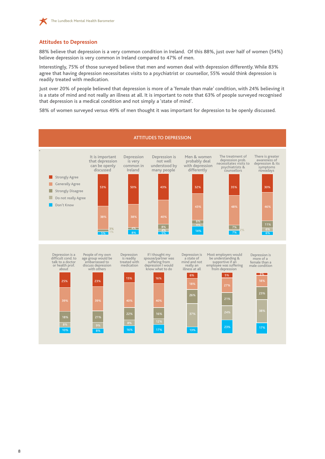

#### **Attitudes to Depression**

88% believe that depression is a very common condition in Ireland. Of this 88%, just over half of women (54%) believe depression is very common in Ireland compared to 47% of men.

Interestingly, 75% of those surveyed believe that men and women deal with depression differently. While 83% agree that having depression necessitates visits to a psychiatrist or counsellor, 55% would think depression is readily treated with medication.

Just over 20% of people believed that depression is more of a 'female than male' condition, with 24% believing it is a state of mind and not really an illness at all. It is important to note that 63% of people surveyed recognised that depression is a medical condition and not simply a 'state of mind'.

58% of women surveyed versus 49% of men thought it was important for depression to be openly discussed.

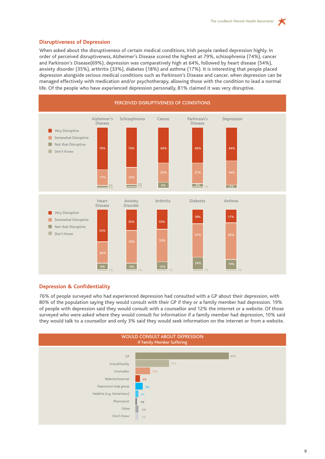$\star$ 

# **Disruptiveness of Depression**

When asked about the disruptiveness of certain medical conditions, Irish people ranked depression highly. In order of perceived disruptiveness, Alzheimer's Disease scored the highest at 79%, schizophrenia (74%), cancer and Parkinson's Disease(69%), depression was comparatively high at 64%, followed by heart disease (54%), anxiety disorder (35%), arthritis (33%), diabetes (18%) and asthma (17%). It is interesting that people placed depression alongside serious medical conditions such as Parkinson's Disease and cancer, when depression can be managed effectively with medication and/or psychotherapy, allowing those with the condition to lead a normal life. Of the people who have experienced depression personally, 81% claimed it was very disruptive.



## **Depression & Confidentiality**

76% of people surveyed who had experienced depression had consulted with a GP about their depression, with 80% of the population saying they would consult with their GP if they or a family member had depression. 19% of people with depression said they would consult with a counsellor and 12% the internet or a website. Of those surveyed who were asked where they would consult for information if a family member had depression, 10% said they would talk to a counsellor and only 3% said they would seek information on the internet or from a website.

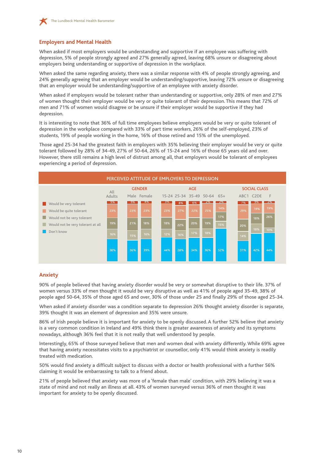

## **Employers and Mental Health**

When asked if most employers would be understanding and supportive if an employee was suffering with depression, 5% of people strongly agreed and 27% generally agreed, leaving 68% unsure or disagreeing about employers being understanding or supportive of depression in the workplace.

When asked the same regarding anxiety, there was a similar response with 4% of people strongly agreeing, and 24% generally agreeing that an employer would be understanding/supportive, leaving 72% unsure or disagreeing that an employer would be understanding/supportive of an employee with anxiety disorder.

When asked if employers would be tolerant rather than understanding or supportive, only 28% of men and 27% of women thought their employer would be very or quite tolerant of their depression. This means that 72% of men and 71% of women would disagree or be unsure if their employer would be supportive if they had depression.

It is interesting to note that 36% of full time employees believe employers would be very or quite tolerant of depression in the workplace compared with 33% of part time workers, 26% of the self-employed, 23% of students, 19% of people working in the home, 16% of those retired and 15% of the unemployed.

Those aged 25-34 had the greatest faith in employers with 35% believing their employer would be very or quite tolerant followed by 28% of 34-49, 27% of 50-64, 26% of 15-24 and 16% of those 65 years old and over. However, there still remains a high level of distrust among all, that employers would be tolerant of employees experiencing a period of depression.



#### **Anxiety**

90% of people believed that having anxiety disorder would be very or somewhat disruptive to their life. 37% of women versus 33% of men thought it would be very disruptive as well as 41% of people aged 35-49, 38% of people aged 50-64, 35% of those aged 65 and over, 30% of those under 25 and finally 29% of those aged 25-34.

When asked if anxiety disorder was a condition separate to depression 26% thought anxiety disorder is separate, 39% thought it was an element of depression and 35% were unsure.

86% of Irish people believe it is important for anxiety to be openly discussed. A further 52% believe that anxiety is a very common condition in Ireland and 49% think there is greater awareness of anxiety and its symptoms nowadays, although 36% feel that it is not really that well understood by people.

Interestingly, 65% of those surveyed believe that men and women deal with anxiety differently. While 69% agree that having anxiety necessitates visits to a psychiatrist or counsellor, only 41% would think anxiety is readily treated with medication.

50% would find anxiety a difficult subject to discuss with a doctor or health professional with a further 56% claiming it would be embarrassing to talk to a friend about.

21% of people believed that anxiety was more of a 'female than male' condition, with 29% believing it was a state of mind and not really an illness at all. 43% of women surveyed versus 36% of men thought it was important for anxiety to be openly discussed.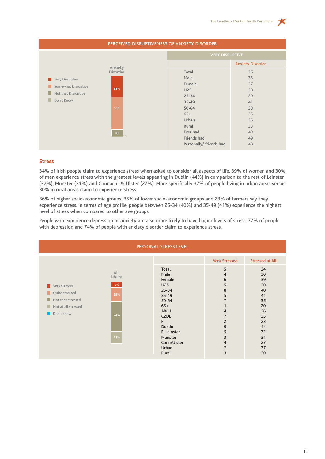| PERCEIVED DISRUPTIVENESS OF ANXIETY DISORDER                                                                                  |                                                                                                     |                                                          |  |  |  |  |  |
|-------------------------------------------------------------------------------------------------------------------------------|-----------------------------------------------------------------------------------------------------|----------------------------------------------------------|--|--|--|--|--|
|                                                                                                                               | <b>VERY DISRUPTIVE</b>                                                                              |                                                          |  |  |  |  |  |
|                                                                                                                               |                                                                                                     | <b>Anxiety Disorder</b>                                  |  |  |  |  |  |
| Anxiety<br><b>Disorder</b><br>Very Disruptive<br>Somewhat Disruptive<br>35%<br>Not that Disruptive<br>L.<br>Don't Know<br>55% | Total<br>Male<br>Female<br><b>U25</b><br>$25 - 34$<br>35-49<br>$50 - 64$<br>$65+$<br>Urban<br>Rural | 35<br>33<br>37<br>30<br>29<br>41<br>38<br>35<br>36<br>33 |  |  |  |  |  |
| 9%<br>1%                                                                                                                      | Ever had<br>Friends had<br>Personally/ friends had                                                  | 49<br>49<br>48                                           |  |  |  |  |  |

#### **Stress**

34% of Irish people claim to experience stress when asked to consider all aspects of life. 39% of women and 30% of men experience stress with the greatest levels appearing in Dublin (44%) in comparison to the rest of Leinster (32%), Munster (31%) and Connacht & Ulster (27%). More specifically 37% of people living in urban areas versus 30% in rural areas claim to experience stress.

36% of higher socio-economic groups, 35% of lower socio-economic groups and 23% of farmers say they experience stress. In terms of age profile, people between 25-34 (40%) and 35-49 (41%) experience the highest level of stress when compared to other age groups.

People who experience depression or anxiety are also more likely to have higher levels of stress. 77% of people with depression and 74% of people with anxiety disorder claim to experience stress.